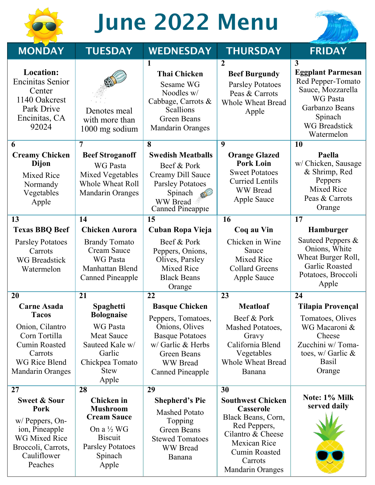

# June 2022 Menu



| <b>MONDAY</b>                                                                                                                         | <b>TUESDAY</b>                                                                                                                                       | <b>WEDNESDAY</b>                                                                                                                                        | <b>THURSDAY</b>                                                                                                                                                                | <b>FRIDAY</b>                                                                                                                                                     |
|---------------------------------------------------------------------------------------------------------------------------------------|------------------------------------------------------------------------------------------------------------------------------------------------------|---------------------------------------------------------------------------------------------------------------------------------------------------------|--------------------------------------------------------------------------------------------------------------------------------------------------------------------------------|-------------------------------------------------------------------------------------------------------------------------------------------------------------------|
| Location:<br><b>Encinitas Senior</b><br>Center<br>1140 Oakcrest<br>Park Drive<br>Encinitas, CA<br>92024                               | Denotes meal<br>with more than<br>1000 mg sodium                                                                                                     | 1<br><b>Thai Chicken</b><br>Sesame WG<br>Noodles w/<br>Cabbage, Carrots &<br>Scallions<br><b>Green Beans</b><br><b>Mandarin Oranges</b>                 | $\overline{2}$<br><b>Beef Burgundy</b><br><b>Parsley Potatoes</b><br>Peas & Carrots<br><b>Whole Wheat Bread</b><br>Apple                                                       | $\mathbf{3}$<br><b>Eggplant Parmesan</b><br>Red Pepper-Tomato<br>Sauce, Mozzarella<br>WG Pasta<br>Garbanzo Beans<br>Spinach<br><b>WG</b> Breadstick<br>Watermelon |
| 6<br><b>Creamy Chicken</b><br>Dijon<br><b>Mixed Rice</b><br>Normandy<br>Vegetables<br>Apple                                           | 7<br><b>Beef Stroganoff</b><br><b>WG</b> Pasta<br>Mixed Vegetables<br><b>Whole Wheat Roll</b><br><b>Mandarin Oranges</b>                             | 8<br><b>Swedish Meatballs</b><br>Beef & Pork<br>Creamy Dill Sauce<br><b>Parsley Potatoes</b><br>Spinach<br><b>WW</b> Bread<br><b>Canned Pineapple</b>   | $\overline{9}$<br><b>Orange Glazed</b><br><b>Pork Loin</b><br><b>Sweet Potatoes</b><br><b>Curried Lentils</b><br><b>WW</b> Bread<br>Apple Sauce                                | <b>10</b><br>Paella<br>w/ Chicken, Sausage<br>& Shrimp, Red<br>Peppers<br><b>Mixed Rice</b><br>Peas & Carrots<br>Orange                                           |
| 13                                                                                                                                    | 14                                                                                                                                                   | 15                                                                                                                                                      | 16                                                                                                                                                                             | 17                                                                                                                                                                |
| <b>Texas BBQ Beef</b>                                                                                                                 | <b>Chicken Aurora</b>                                                                                                                                | Cuban Ropa Vieja                                                                                                                                        | Coq au Vin                                                                                                                                                                     | Hamburger                                                                                                                                                         |
| <b>Parsley Potatoes</b><br>Carrots<br><b>WG</b> Breadstick<br>Watermelon                                                              | <b>Brandy Tomato</b><br><b>Cream Sauce</b><br><b>WG Pasta</b><br>Manhattan Blend<br><b>Canned Pineapple</b>                                          | Beef & Pork<br>Peppers, Onions,<br>Olives, Parsley<br>Mixed Rice<br><b>Black Beans</b><br>Orange                                                        | Chicken in Wine<br>Sauce<br><b>Mixed Rice</b><br><b>Collard Greens</b><br>Apple Sauce                                                                                          | Sauteed Peppers &<br>Onions, White<br>Wheat Burger Roll,<br><b>Garlic Roasted</b><br>Potatoes, Broccoli<br>Apple                                                  |
| 20                                                                                                                                    | 21                                                                                                                                                   | 22                                                                                                                                                      | 23                                                                                                                                                                             | 24                                                                                                                                                                |
| <b>Carne Asada</b><br><b>Tacos</b>                                                                                                    | Spaghetti<br><b>Bolognaise</b>                                                                                                                       | <b>Basque Chicken</b>                                                                                                                                   | <b>Meatloaf</b>                                                                                                                                                                | <b>Tilapia Provençal</b>                                                                                                                                          |
| Onion, Cilantro<br>Corn Tortilla<br><b>Cumin Roasted</b><br>Carrots<br><b>WG Rice Blend</b><br><b>Mandarin Oranges</b>                | <b>WG Pasta</b><br><b>Meat Sauce</b><br>Sauteed Kale w/<br>Garlic<br>Chickpea Tomato<br><b>Stew</b><br>Apple                                         | Peppers, Tomatoes,<br>Onions, Olives<br><b>Basque Potatoes</b><br>w/ Garlic & Herbs<br><b>Green Beans</b><br><b>WW</b> Bread<br><b>Canned Pineapple</b> | Beef & Pork<br>Mashed Potatoes,<br>Gravy<br>California Blend<br>Vegetables<br><b>Whole Wheat Bread</b><br>Banana                                                               | Tomatoes, Olives<br>WG Macaroni &<br>Cheese<br>Zucchini w/Toma-<br>toes, $w /$ Garlic $\&$<br><b>Basil</b><br>Orange                                              |
| 27                                                                                                                                    | 28                                                                                                                                                   | 29                                                                                                                                                      | 30                                                                                                                                                                             | Note: 1% Milk                                                                                                                                                     |
| <b>Sweet &amp; Sour</b><br>Pork<br>w/ Peppers, On-<br>ion, Pineapple<br>WG Mixed Rice<br>Broccoli, Carrots,<br>Cauliflower<br>Peaches | <b>Chicken</b> in<br><b>Mushroom</b><br><b>Cream Sauce</b><br>On a $\frac{1}{2}$ WG<br><b>Biscuit</b><br><b>Parsley Potatoes</b><br>Spinach<br>Apple | <b>Shepherd's Pie</b><br><b>Mashed Potato</b><br>Topping<br><b>Green Beans</b><br><b>Stewed Tomatoes</b><br><b>WW</b> Bread<br>Banana                   | <b>Southwest Chicken</b><br>Casserole<br>Black Beans, Corn,<br>Red Peppers,<br>Cilantro & Cheese<br>Mexican Rice<br><b>Cumin Roasted</b><br>Carrots<br><b>Mandarin Oranges</b> | served daily                                                                                                                                                      |